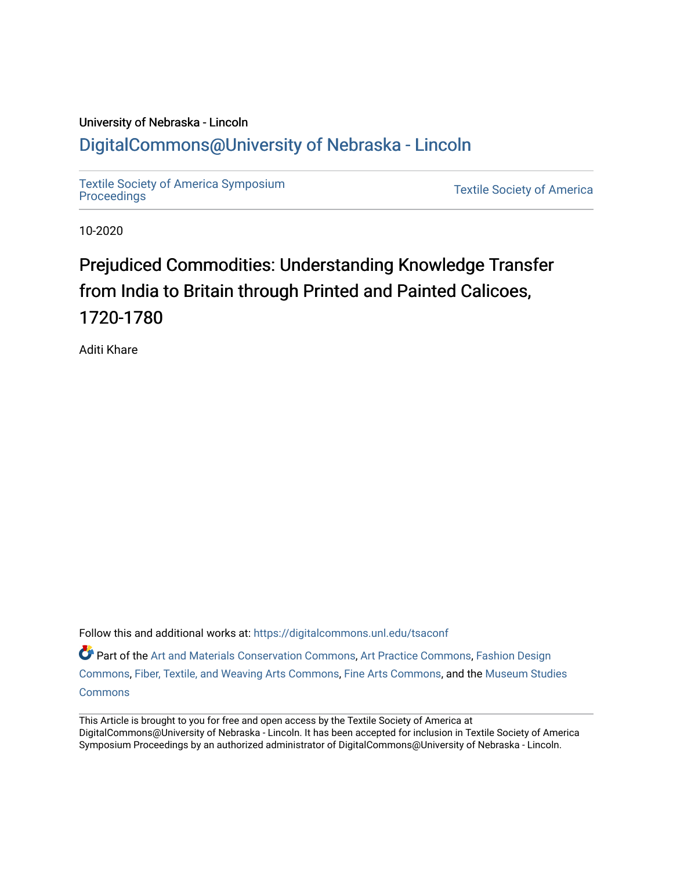# University of Nebraska - Lincoln [DigitalCommons@University of Nebraska - Lincoln](https://digitalcommons.unl.edu/)

[Textile Society of America Symposium](https://digitalcommons.unl.edu/tsaconf) 

**Textile Society of America** 

10-2020

# Prejudiced Commodities: Understanding Knowledge Transfer from India to Britain through Printed and Painted Calicoes, 1720-1780

Aditi Khare

Follow this and additional works at: [https://digitalcommons.unl.edu/tsaconf](https://digitalcommons.unl.edu/tsaconf?utm_source=digitalcommons.unl.edu%2Ftsaconf%2F1146&utm_medium=PDF&utm_campaign=PDFCoverPages) Part of the [Art and Materials Conservation Commons,](http://network.bepress.com/hgg/discipline/1131?utm_source=digitalcommons.unl.edu%2Ftsaconf%2F1146&utm_medium=PDF&utm_campaign=PDFCoverPages) [Art Practice Commons,](http://network.bepress.com/hgg/discipline/509?utm_source=digitalcommons.unl.edu%2Ftsaconf%2F1146&utm_medium=PDF&utm_campaign=PDFCoverPages) Fashion Design [Commons](http://network.bepress.com/hgg/discipline/1132?utm_source=digitalcommons.unl.edu%2Ftsaconf%2F1146&utm_medium=PDF&utm_campaign=PDFCoverPages), [Fiber, Textile, and Weaving Arts Commons,](http://network.bepress.com/hgg/discipline/1337?utm_source=digitalcommons.unl.edu%2Ftsaconf%2F1146&utm_medium=PDF&utm_campaign=PDFCoverPages) [Fine Arts Commons,](http://network.bepress.com/hgg/discipline/1141?utm_source=digitalcommons.unl.edu%2Ftsaconf%2F1146&utm_medium=PDF&utm_campaign=PDFCoverPages) and the [Museum Studies](http://network.bepress.com/hgg/discipline/1366?utm_source=digitalcommons.unl.edu%2Ftsaconf%2F1146&utm_medium=PDF&utm_campaign=PDFCoverPages) **[Commons](http://network.bepress.com/hgg/discipline/1366?utm_source=digitalcommons.unl.edu%2Ftsaconf%2F1146&utm_medium=PDF&utm_campaign=PDFCoverPages)** 

This Article is brought to you for free and open access by the Textile Society of America at DigitalCommons@University of Nebraska - Lincoln. It has been accepted for inclusion in Textile Society of America Symposium Proceedings by an authorized administrator of DigitalCommons@University of Nebraska - Lincoln.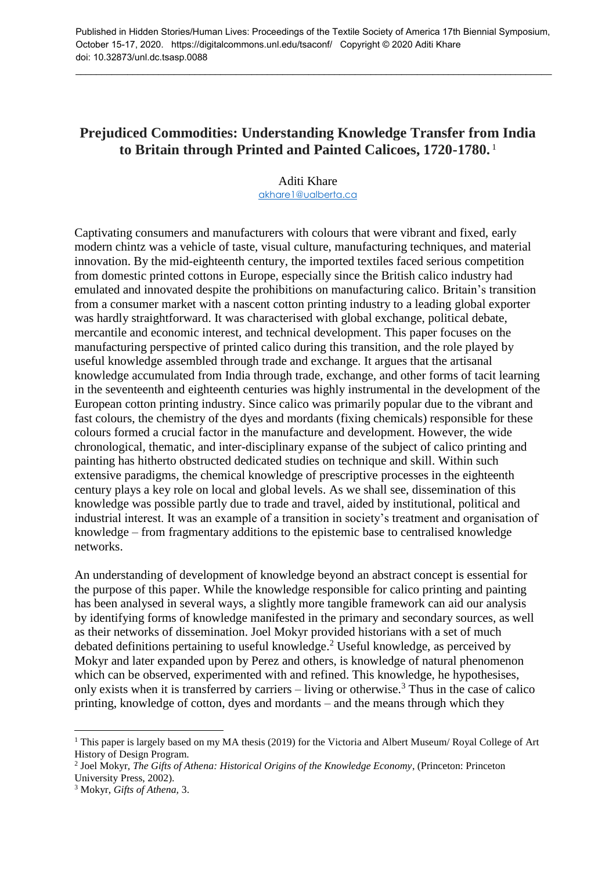Published in Hidden Stories/Human Lives: Proceedings of the Textile Society of America 17th Biennial Symposium, October 15-17, 2020. https://digitalcommons.unl.edu/tsaconf/ Copyright © 2020 Aditi Khare doi: 10.32873/unl.dc.tsasp.0088

\_\_\_\_\_\_\_\_\_\_\_\_\_\_\_\_\_\_\_\_\_\_\_\_\_\_\_\_\_\_\_\_\_\_\_\_\_\_\_\_\_\_\_\_\_\_\_\_\_\_\_\_\_\_\_\_\_\_\_\_\_\_\_\_\_\_\_\_\_\_\_\_\_\_\_\_\_\_\_\_\_\_\_\_\_\_\_\_\_\_\_\_

## **Prejudiced Commodities: Understanding Knowledge Transfer from India to Britain through Printed and Painted Calicoes, 1720-1780.** <sup>1</sup>

Aditi Khare [akhare1@ualberta.ca](mailto:akhare1@ualberta.ca)

Captivating consumers and manufacturers with colours that were vibrant and fixed, early modern chintz was a vehicle of taste, visual culture, manufacturing techniques, and material innovation. By the mid-eighteenth century, the imported textiles faced serious competition from domestic printed cottons in Europe, especially since the British calico industry had emulated and innovated despite the prohibitions on manufacturing calico. Britain's transition from a consumer market with a nascent cotton printing industry to a leading global exporter was hardly straightforward. It was characterised with global exchange, political debate, mercantile and economic interest, and technical development. This paper focuses on the manufacturing perspective of printed calico during this transition, and the role played by useful knowledge assembled through trade and exchange. It argues that the artisanal knowledge accumulated from India through trade, exchange, and other forms of tacit learning in the seventeenth and eighteenth centuries was highly instrumental in the development of the European cotton printing industry. Since calico was primarily popular due to the vibrant and fast colours, the chemistry of the dyes and mordants (fixing chemicals) responsible for these colours formed a crucial factor in the manufacture and development. However, the wide chronological, thematic, and inter-disciplinary expanse of the subject of calico printing and painting has hitherto obstructed dedicated studies on technique and skill. Within such extensive paradigms, the chemical knowledge of prescriptive processes in the eighteenth century plays a key role on local and global levels. As we shall see, dissemination of this knowledge was possible partly due to trade and travel, aided by institutional, political and industrial interest. It was an example of a transition in society's treatment and organisation of knowledge – from fragmentary additions to the epistemic base to centralised knowledge networks.

An understanding of development of knowledge beyond an abstract concept is essential for the purpose of this paper. While the knowledge responsible for calico printing and painting has been analysed in several ways, a slightly more tangible framework can aid our analysis by identifying forms of knowledge manifested in the primary and secondary sources, as well as their networks of dissemination. Joel Mokyr provided historians with a set of much debated definitions pertaining to useful knowledge.<sup>2</sup> Useful knowledge, as perceived by Mokyr and later expanded upon by Perez and others, is knowledge of natural phenomenon which can be observed, experimented with and refined. This knowledge, he hypothesises, only exists when it is transferred by carriers – living or otherwise.<sup>3</sup> Thus in the case of calico printing, knowledge of cotton, dyes and mordants – and the means through which they

<sup>1</sup> This paper is largely based on my MA thesis (2019) for the Victoria and Albert Museum/ Royal College of Art History of Design Program.

<sup>2</sup> Joel Mokyr, *The Gifts of Athena: Historical Origins of the Knowledge Economy*, (Princeton: Princeton University Press, 2002).

<sup>3</sup> Mokyr, *Gifts of Athena,* 3.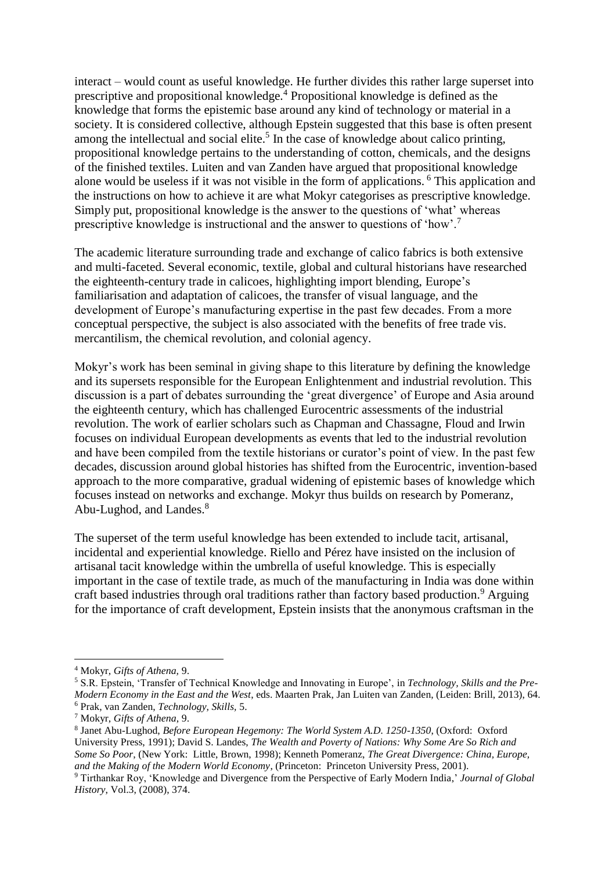interact – would count as useful knowledge. He further divides this rather large superset into prescriptive and propositional knowledge.<sup>4</sup> Propositional knowledge is defined as the knowledge that forms the epistemic base around any kind of technology or material in a society. It is considered collective, although Epstein suggested that this base is often present among the intellectual and social elite.<sup>5</sup> In the case of knowledge about calico printing, propositional knowledge pertains to the understanding of cotton, chemicals, and the designs of the finished textiles. Luiten and van Zanden have argued that propositional knowledge alone would be useless if it was not visible in the form of applications. <sup>6</sup> This application and the instructions on how to achieve it are what Mokyr categorises as prescriptive knowledge. Simply put, propositional knowledge is the answer to the questions of 'what' whereas prescriptive knowledge is instructional and the answer to questions of 'how'.<sup>7</sup>

The academic literature surrounding trade and exchange of calico fabrics is both extensive and multi-faceted. Several economic, textile, global and cultural historians have researched the eighteenth-century trade in calicoes, highlighting import blending, Europe's familiarisation and adaptation of calicoes, the transfer of visual language, and the development of Europe's manufacturing expertise in the past few decades. From a more conceptual perspective, the subject is also associated with the benefits of free trade vis. mercantilism, the chemical revolution, and colonial agency.

Mokyr's work has been seminal in giving shape to this literature by defining the knowledge and its supersets responsible for the European Enlightenment and industrial revolution. This discussion is a part of debates surrounding the 'great divergence' of Europe and Asia around the eighteenth century, which has challenged Eurocentric assessments of the industrial revolution. The work of earlier scholars such as Chapman and Chassagne, Floud and Irwin focuses on individual European developments as events that led to the industrial revolution and have been compiled from the textile historians or curator's point of view. In the past few decades, discussion around global histories has shifted from the Eurocentric, invention-based approach to the more comparative, gradual widening of epistemic bases of knowledge which focuses instead on networks and exchange. Mokyr thus builds on research by Pomeranz, Abu-Lughod, and Landes.<sup>8</sup>

The superset of the term useful knowledge has been extended to include tacit, artisanal, incidental and experiential knowledge. Riello and Pérez have insisted on the inclusion of artisanal tacit knowledge within the umbrella of useful knowledge. This is especially important in the case of textile trade, as much of the manufacturing in India was done within craft based industries through oral traditions rather than factory based production.<sup>9</sup> Arguing for the importance of craft development, Epstein insists that the anonymous craftsman in the

<sup>4</sup> Mokyr, *Gifts of Athena,* 9.

<sup>5</sup> S.R. Epstein, 'Transfer of Technical Knowledge and Innovating in Europe', in *Technology, Skills and the Pre-Modern Economy in the East and the West*, eds. Maarten Prak, Jan Luiten van Zanden, (Leiden: Brill, 2013), 64. <sup>6</sup> Prak, van Zanden, *Technology, Skills,* 5.

<sup>7</sup> Mokyr, *Gifts of Athena*, 9.

<sup>8</sup> Janet Abu-Lughod, *Before European Hegemony: The World System A.D. 1250-1350*, (Oxford: Oxford University Press, 1991); David S. Landes, *The Wealth and Poverty of Nations: Why Some Are So Rich and Some So Poor*, (New York: Little, Brown, 1998); Kenneth Pomeranz, *The Great Divergence: China, Europe, and the Making of the Modern World Economy*, (Princeton: Princeton University Press, 2001).

<sup>9</sup> Tirthankar Roy, 'Knowledge and Divergence from the Perspective of Early Modern India,' *Journal of Global History*, Vol.3, (2008), 374.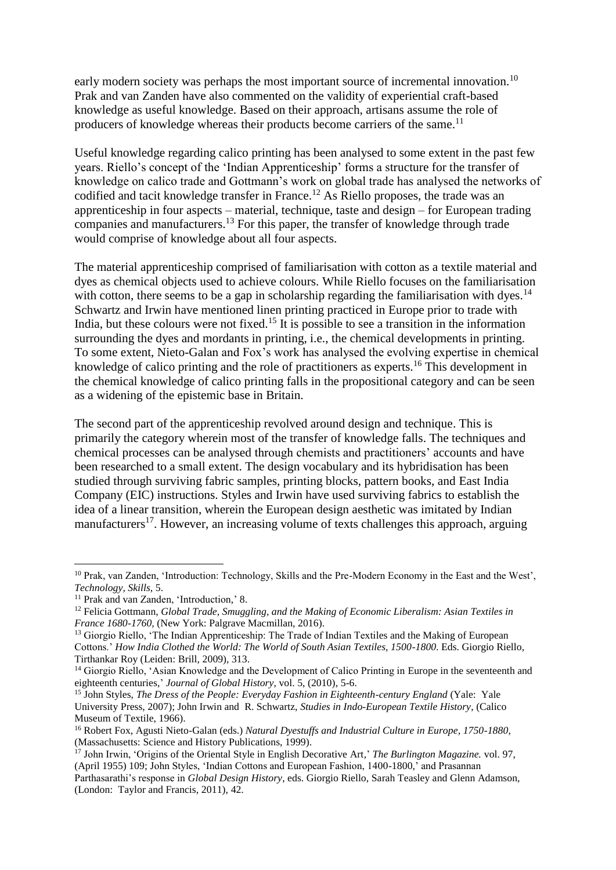early modern society was perhaps the most important source of incremental innovation.<sup>10</sup> Prak and van Zanden have also commented on the validity of experiential craft-based knowledge as useful knowledge. Based on their approach, artisans assume the role of producers of knowledge whereas their products become carriers of the same.<sup>11</sup>

Useful knowledge regarding calico printing has been analysed to some extent in the past few years. Riello's concept of the 'Indian Apprenticeship' forms a structure for the transfer of knowledge on calico trade and Gottmann's work on global trade has analysed the networks of codified and tacit knowledge transfer in France.<sup>12</sup> As Riello proposes, the trade was an apprenticeship in four aspects – material, technique, taste and design – for European trading companies and manufacturers.<sup>13</sup> For this paper, the transfer of knowledge through trade would comprise of knowledge about all four aspects.

The material apprenticeship comprised of familiarisation with cotton as a textile material and dyes as chemical objects used to achieve colours. While Riello focuses on the familiarisation with cotton, there seems to be a gap in scholarship regarding the familiarisation with dyes.<sup>14</sup> Schwartz and Irwin have mentioned linen printing practiced in Europe prior to trade with India, but these colours were not fixed.<sup>15</sup> It is possible to see a transition in the information surrounding the dyes and mordants in printing, i.e., the chemical developments in printing. To some extent, Nieto-Galan and Fox's work has analysed the evolving expertise in chemical knowledge of calico printing and the role of practitioners as experts.<sup>16</sup> This development in the chemical knowledge of calico printing falls in the propositional category and can be seen as a widening of the epistemic base in Britain.

The second part of the apprenticeship revolved around design and technique. This is primarily the category wherein most of the transfer of knowledge falls. The techniques and chemical processes can be analysed through chemists and practitioners' accounts and have been researched to a small extent. The design vocabulary and its hybridisation has been studied through surviving fabric samples, printing blocks, pattern books, and East India Company (EIC) instructions. Styles and Irwin have used surviving fabrics to establish the idea of a linear transition, wherein the European design aesthetic was imitated by Indian manufacturers<sup>17</sup>. However, an increasing volume of texts challenges this approach, arguing

<sup>10</sup> Prak, van Zanden, 'Introduction: Technology, Skills and the Pre-Modern Economy in the East and the West', *Technology, Skills*, 5.

<sup>&</sup>lt;sup>11</sup> Prak and van Zanden, 'Introduction,' 8.

<sup>12</sup> Felicia Gottmann, *Global Trade, Smuggling, and the Making of Economic Liberalism: Asian Textiles in France 1680-1760,* (New York: Palgrave Macmillan, 2016).

<sup>&</sup>lt;sup>13</sup> Giorgio Riello, 'The Indian Apprenticeship: The Trade of Indian Textiles and the Making of European Cottons.' *How India Clothed the World: The World of South Asian Textiles, 1500-1800*. Eds. Giorgio Riello, Tirthankar Roy (Leiden: Brill, 2009), 313.

<sup>&</sup>lt;sup>14</sup> Giorgio Riello, 'Asian Knowledge and the Development of Calico Printing in Europe in the seventeenth and eighteenth centuries,' *Journal of Global History*, vol. 5, (2010), 5-6.

<sup>15</sup> John Styles, *The Dress of the People: Everyday Fashion in Eighteenth-century England* (Yale: Yale University Press, 2007); John Irwin and R. Schwartz, *Studies in Indo-European Textile History*, (Calico Museum of Textile, 1966).

<sup>16</sup> Robert Fox, Agusti Nieto-Galan (eds.) *Natural Dyestuffs and Industrial Culture in Europe, 1750-1880*, (Massachusetts: Science and History Publications, 1999).

<sup>17</sup> John Irwin, 'Origins of the Oriental Style in English Decorative Art,' *The Burlington Magazine.* vol. 97, (April 1955) 109; John Styles, 'Indian Cottons and European Fashion, 1400-1800,' and Prasannan

Parthasarathi's response in *Global Design History*, eds. Giorgio Riello, Sarah Teasley and Glenn Adamson, (London: Taylor and Francis, 2011), 42.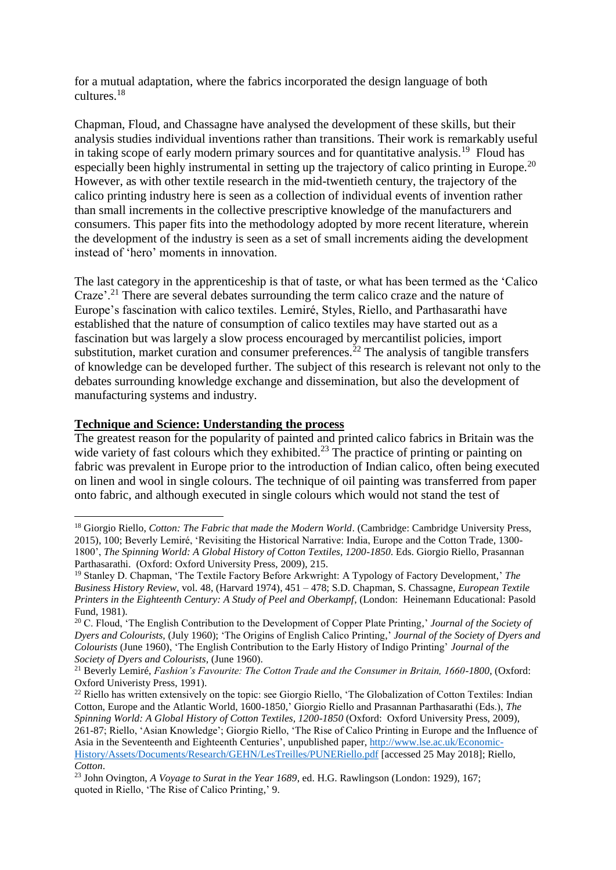for a mutual adaptation, where the fabrics incorporated the design language of both cultures.<sup>18</sup>

Chapman, Floud, and Chassagne have analysed the development of these skills, but their analysis studies individual inventions rather than transitions. Their work is remarkably useful in taking scope of early modern primary sources and for quantitative analysis.<sup>19</sup> Floud has especially been highly instrumental in setting up the trajectory of calico printing in Europe.<sup>20</sup> However, as with other textile research in the mid-twentieth century, the trajectory of the calico printing industry here is seen as a collection of individual events of invention rather than small increments in the collective prescriptive knowledge of the manufacturers and consumers. This paper fits into the methodology adopted by more recent literature, wherein the development of the industry is seen as a set of small increments aiding the development instead of 'hero' moments in innovation.

The last category in the apprenticeship is that of taste, or what has been termed as the 'Calico Craze'<sup>21</sup> There are several debates surrounding the term calico craze and the nature of Europe's fascination with calico textiles. Lemiré, Styles, Riello, and Parthasarathi have established that the nature of consumption of calico textiles may have started out as a fascination but was largely a slow process encouraged by mercantilist policies, import substitution, market curation and consumer preferences.<sup>22</sup> The analysis of tangible transfers of knowledge can be developed further. The subject of this research is relevant not only to the debates surrounding knowledge exchange and dissemination, but also the development of manufacturing systems and industry.

#### **Technique and Science: Understanding the process**

<u>.</u>

The greatest reason for the popularity of painted and printed calico fabrics in Britain was the wide variety of fast colours which they exhibited.<sup>23</sup> The practice of printing or painting on fabric was prevalent in Europe prior to the introduction of Indian calico, often being executed on linen and wool in single colours. The technique of oil painting was transferred from paper onto fabric, and although executed in single colours which would not stand the test of

<sup>&</sup>lt;sup>18</sup> Giorgio Riello. *Cotton: The Fabric that made the Modern World*. (Cambridge: Cambridge University Press, 2015), 100; Beverly Lemiré, 'Revisiting the Historical Narrative: India, Europe and the Cotton Trade, 1300- 1800', *The Spinning World: A Global History of Cotton Textiles, 1200-1850*. Eds. Giorgio Riello, Prasannan Parthasarathi. (Oxford: Oxford University Press, 2009), 215.

<sup>19</sup> Stanley D. Chapman, 'The Textile Factory Before Arkwright: A Typology of Factory Development,' *The Business History Review,* vol. 48, (Harvard 1974), 451 – 478; S.D. Chapman, S. Chassagne, *European Textile Printers in the Eighteenth Century: A Study of Peel and Oberkampf*, (London: Heinemann Educational: Pasold Fund, 1981).

<sup>20</sup> C. Floud, 'The English Contribution to the Development of Copper Plate Printing,' *Journal of the Society of Dyers and Colourists,* (July 1960); 'The Origins of English Calico Printing,' *Journal of the Society of Dyers and Colourists* (June 1960), 'The English Contribution to the Early History of Indigo Printing' *Journal of the Society of Dyers and Colourists,* (June 1960).

<sup>21</sup> Beverly Lemiré, *Fashion's Favourite: The Cotton Trade and the Consumer in Britain, 1660-1800*, (Oxford: Oxford Univeristy Press, 1991).

<sup>&</sup>lt;sup>22</sup> Riello has written extensively on the topic: see Giorgio Riello, 'The Globalization of Cotton Textiles: Indian Cotton, Europe and the Atlantic World, 1600-1850,' Giorgio Riello and Prasannan Parthasarathi (Eds.), *The Spinning World: A Global History of Cotton Textiles, 1200-1850* (Oxford: Oxford University Press, 2009), 261-87; Riello, 'Asian Knowledge'; Giorgio Riello, 'The Rise of Calico Printing in Europe and the Influence of Asia in the Seventeenth and Eighteenth Centuries', unpublished paper, [http://www.lse.ac.uk/Economic-](http://www.lse.ac.uk/Economic-History/Assets/Documents/Research/GEHN/LesTreilles/PUNERiello.pdf)[History/Assets/Documents/Research/GEHN/LesTreilles/PUNERiello.pdf](http://www.lse.ac.uk/Economic-History/Assets/Documents/Research/GEHN/LesTreilles/PUNERiello.pdf) [accessed 25 May 2018]; Riello, *Cotton*.

<sup>23</sup> John Ovington, *A Voyage to Surat in the Year 1689*, ed. H.G. Rawlingson (London: 1929), 167; quoted in Riello, 'The Rise of Calico Printing,' 9.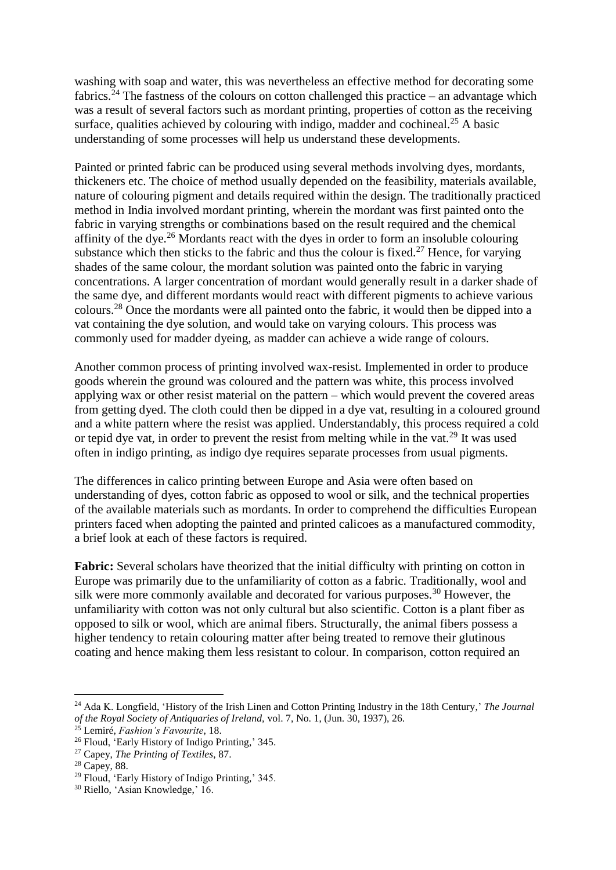washing with soap and water, this was nevertheless an effective method for decorating some fabrics.<sup>24</sup> The fastness of the colours on cotton challenged this practice – an advantage which was a result of several factors such as mordant printing, properties of cotton as the receiving surface, qualities achieved by colouring with indigo, madder and cochineal.<sup>25</sup> A basic understanding of some processes will help us understand these developments.

Painted or printed fabric can be produced using several methods involving dyes, mordants, thickeners etc. The choice of method usually depended on the feasibility, materials available, nature of colouring pigment and details required within the design. The traditionally practiced method in India involved mordant printing, wherein the mordant was first painted onto the fabric in varying strengths or combinations based on the result required and the chemical affinity of the dye.<sup>26</sup> Mordants react with the dyes in order to form an insoluble colouring substance which then sticks to the fabric and thus the colour is fixed.<sup>27</sup> Hence, for varying shades of the same colour, the mordant solution was painted onto the fabric in varying concentrations. A larger concentration of mordant would generally result in a darker shade of the same dye, and different mordants would react with different pigments to achieve various colours.<sup>28</sup> Once the mordants were all painted onto the fabric, it would then be dipped into a vat containing the dye solution, and would take on varying colours. This process was commonly used for madder dyeing, as madder can achieve a wide range of colours.

Another common process of printing involved wax-resist. Implemented in order to produce goods wherein the ground was coloured and the pattern was white, this process involved applying wax or other resist material on the pattern – which would prevent the covered areas from getting dyed. The cloth could then be dipped in a dye vat, resulting in a coloured ground and a white pattern where the resist was applied. Understandably, this process required a cold or tepid dye vat, in order to prevent the resist from melting while in the vat.<sup>29</sup> It was used often in indigo printing, as indigo dye requires separate processes from usual pigments.

The differences in calico printing between Europe and Asia were often based on understanding of dyes, cotton fabric as opposed to wool or silk, and the technical properties of the available materials such as mordants. In order to comprehend the difficulties European printers faced when adopting the painted and printed calicoes as a manufactured commodity, a brief look at each of these factors is required.

**Fabric:** Several scholars have theorized that the initial difficulty with printing on cotton in Europe was primarily due to the unfamiliarity of cotton as a fabric. Traditionally, wool and silk were more commonly available and decorated for various purposes.<sup>30</sup> However, the unfamiliarity with cotton was not only cultural but also scientific. Cotton is a plant fiber as opposed to silk or wool, which are animal fibers. Structurally, the animal fibers possess a higher tendency to retain colouring matter after being treated to remove their glutinous coating and hence making them less resistant to colour. In comparison, cotton required an

<sup>24</sup> Ada K. Longfield, 'History of the Irish Linen and Cotton Printing Industry in the 18th Century,' *The Journal of the Royal Society of Antiquaries of Ireland,* vol. 7, No. 1, (Jun. 30, 1937), 26.

<sup>25</sup> Lemiré, *Fashion's Favourite*, 18.

<sup>26</sup> Floud, 'Early History of Indigo Printing,' 345.

<sup>27</sup> Capey, *The Printing of Textiles*, 87.

<sup>28</sup> Capey, 88.

<sup>29</sup> Floud, 'Early History of Indigo Printing,' 345.

<sup>30</sup> Riello, 'Asian Knowledge,' 16.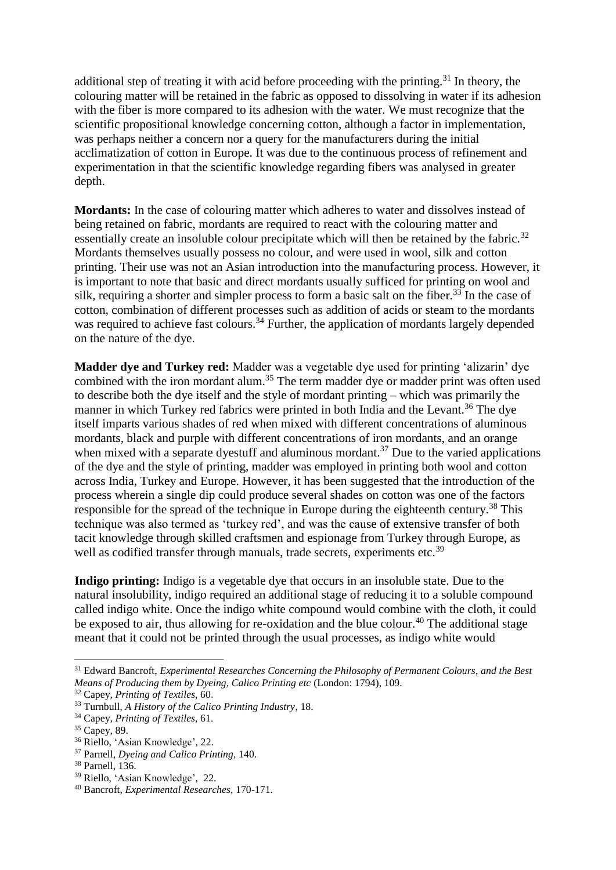additional step of treating it with acid before proceeding with the printing.<sup>31</sup> In theory, the colouring matter will be retained in the fabric as opposed to dissolving in water if its adhesion with the fiber is more compared to its adhesion with the water. We must recognize that the scientific propositional knowledge concerning cotton, although a factor in implementation, was perhaps neither a concern nor a query for the manufacturers during the initial acclimatization of cotton in Europe. It was due to the continuous process of refinement and experimentation in that the scientific knowledge regarding fibers was analysed in greater depth.

**Mordants:** In the case of colouring matter which adheres to water and dissolves instead of being retained on fabric, mordants are required to react with the colouring matter and essentially create an insoluble colour precipitate which will then be retained by the fabric.<sup>32</sup> Mordants themselves usually possess no colour, and were used in wool, silk and cotton printing. Their use was not an Asian introduction into the manufacturing process. However, it is important to note that basic and direct mordants usually sufficed for printing on wool and silk, requiring a shorter and simpler process to form a basic salt on the fiber.<sup>33</sup> In the case of cotton, combination of different processes such as addition of acids or steam to the mordants was required to achieve fast colours.<sup>34</sup> Further, the application of mordants largely depended on the nature of the dye.

**Madder dye and Turkey red:** Madder was a vegetable dye used for printing 'alizarin' dye combined with the iron mordant alum.<sup>35</sup> The term madder dye or madder print was often used to describe both the dye itself and the style of mordant printing – which was primarily the manner in which Turkey red fabrics were printed in both India and the Levant.<sup>36</sup> The dye itself imparts various shades of red when mixed with different concentrations of aluminous mordants, black and purple with different concentrations of iron mordants, and an orange when mixed with a separate dyestuff and aluminous mordant.<sup>37</sup> Due to the varied applications of the dye and the style of printing, madder was employed in printing both wool and cotton across India, Turkey and Europe. However, it has been suggested that the introduction of the process wherein a single dip could produce several shades on cotton was one of the factors responsible for the spread of the technique in Europe during the eighteenth century.<sup>38</sup> This technique was also termed as 'turkey red', and was the cause of extensive transfer of both tacit knowledge through skilled craftsmen and espionage from Turkey through Europe, as well as codified transfer through manuals, trade secrets, experiments etc.<sup>39</sup>

**Indigo printing:** Indigo is a vegetable dye that occurs in an insoluble state. Due to the natural insolubility, indigo required an additional stage of reducing it to a soluble compound called indigo white. Once the indigo white compound would combine with the cloth, it could be exposed to air, thus allowing for re-oxidation and the blue colour.<sup>40</sup> The additional stage meant that it could not be printed through the usual processes, as indigo white would

<sup>31</sup> Edward Bancroft, *Experimental Researches Concerning the Philosophy of Permanent Colours*, *and the Best Means of Producing them by Dyeing, Calico Printing etc* (London: 1794), 109.

<sup>32</sup> Capey, *Printing of Textiles*, 60.

<sup>33</sup> Turnbull, *A History of the Calico Printing Industry*, 18.

<sup>34</sup> Capey, *Printing of Textiles*, 61.

<sup>&</sup>lt;sup>35</sup> Capey, 89.

<sup>36</sup> Riello, 'Asian Knowledge', 22.

<sup>37</sup> Parnell, *Dyeing and Calico Printing*, 140.

<sup>38</sup> Parnell, 136.

<sup>39</sup> Riello, 'Asian Knowledge', 22.

<sup>40</sup> Bancroft, *Experimental Researches*, 170-171.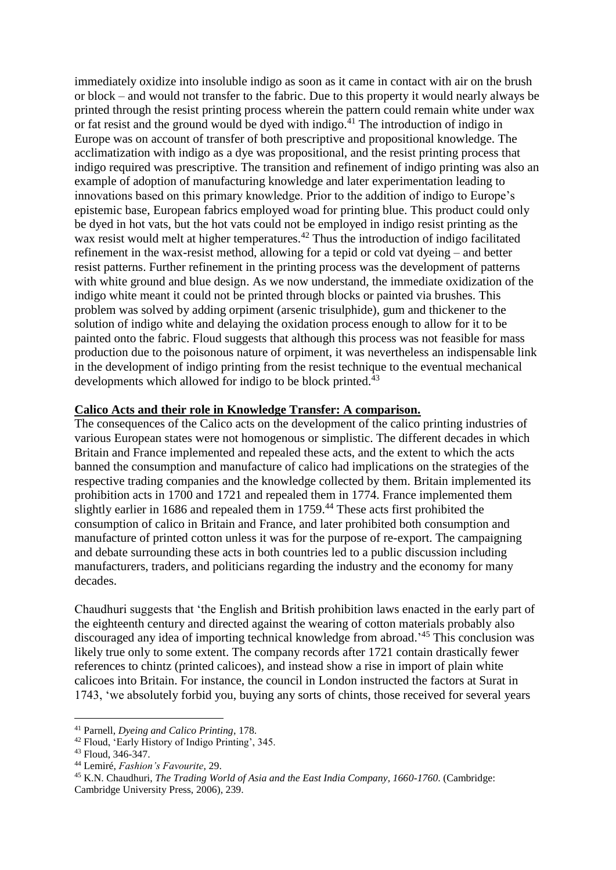immediately oxidize into insoluble indigo as soon as it came in contact with air on the brush or block – and would not transfer to the fabric. Due to this property it would nearly always be printed through the resist printing process wherein the pattern could remain white under wax or fat resist and the ground would be dyed with indigo. $^{41}$  The introduction of indigo in Europe was on account of transfer of both prescriptive and propositional knowledge. The acclimatization with indigo as a dye was propositional, and the resist printing process that indigo required was prescriptive. The transition and refinement of indigo printing was also an example of adoption of manufacturing knowledge and later experimentation leading to innovations based on this primary knowledge. Prior to the addition of indigo to Europe's epistemic base, European fabrics employed woad for printing blue. This product could only be dyed in hot vats, but the hot vats could not be employed in indigo resist printing as the wax resist would melt at higher temperatures.<sup>42</sup> Thus the introduction of indigo facilitated refinement in the wax-resist method, allowing for a tepid or cold vat dyeing – and better resist patterns. Further refinement in the printing process was the development of patterns with white ground and blue design. As we now understand, the immediate oxidization of the indigo white meant it could not be printed through blocks or painted via brushes. This problem was solved by adding orpiment (arsenic trisulphide), gum and thickener to the solution of indigo white and delaying the oxidation process enough to allow for it to be painted onto the fabric. Floud suggests that although this process was not feasible for mass production due to the poisonous nature of orpiment, it was nevertheless an indispensable link in the development of indigo printing from the resist technique to the eventual mechanical developments which allowed for indigo to be block printed.<sup>43</sup>

#### **Calico Acts and their role in Knowledge Transfer: A comparison.**

The consequences of the Calico acts on the development of the calico printing industries of various European states were not homogenous or simplistic. The different decades in which Britain and France implemented and repealed these acts, and the extent to which the acts banned the consumption and manufacture of calico had implications on the strategies of the respective trading companies and the knowledge collected by them. Britain implemented its prohibition acts in 1700 and 1721 and repealed them in 1774. France implemented them slightly earlier in 1686 and repealed them in 1759.<sup>44</sup> These acts first prohibited the consumption of calico in Britain and France, and later prohibited both consumption and manufacture of printed cotton unless it was for the purpose of re-export. The campaigning and debate surrounding these acts in both countries led to a public discussion including manufacturers, traders, and politicians regarding the industry and the economy for many decades.

Chaudhuri suggests that 'the English and British prohibition laws enacted in the early part of the eighteenth century and directed against the wearing of cotton materials probably also discouraged any idea of importing technical knowledge from abroad.' <sup>45</sup> This conclusion was likely true only to some extent. The company records after 1721 contain drastically fewer references to chintz (printed calicoes), and instead show a rise in import of plain white calicoes into Britain. For instance, the council in London instructed the factors at Surat in 1743, 'we absolutely forbid you, buying any sorts of chints, those received for several years

<sup>41</sup> Parnell, *Dyeing and Calico Printing*, 178.

<sup>42</sup> Floud, 'Early History of Indigo Printing', 345.

 $43$  Floud, 346-347.

<sup>44</sup> Lemiré, *Fashion's Favourite*, 29.

<sup>45</sup> K.N. Chaudhuri, *The Trading World of Asia and the East India Company, 1660-1760*. (Cambridge: Cambridge University Press, 2006), 239.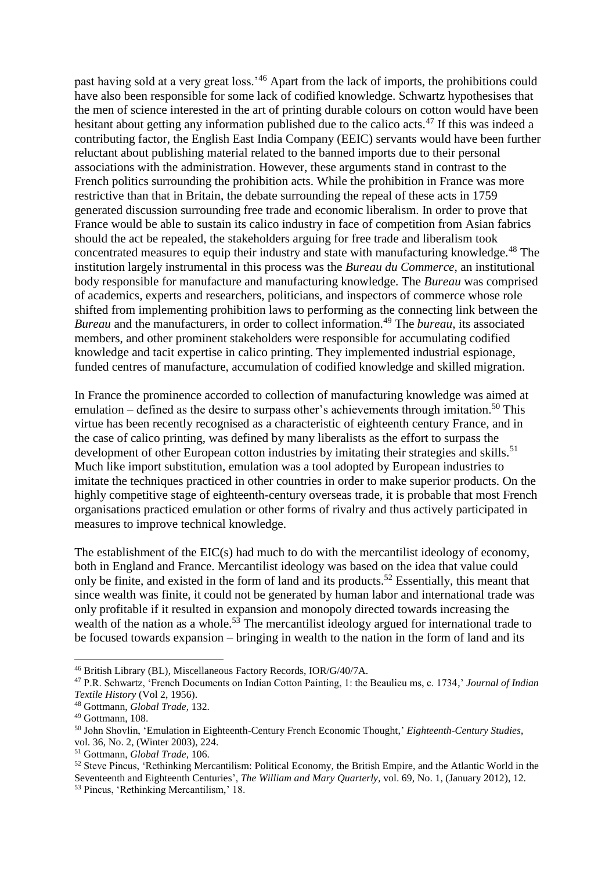past having sold at a very great loss.'<sup>46</sup> Apart from the lack of imports, the prohibitions could have also been responsible for some lack of codified knowledge. Schwartz hypothesises that the men of science interested in the art of printing durable colours on cotton would have been hesitant about getting any information published due to the calico acts.<sup>47</sup> If this was indeed a contributing factor, the English East India Company (EEIC) servants would have been further reluctant about publishing material related to the banned imports due to their personal associations with the administration. However, these arguments stand in contrast to the French politics surrounding the prohibition acts. While the prohibition in France was more restrictive than that in Britain, the debate surrounding the repeal of these acts in 1759 generated discussion surrounding free trade and economic liberalism. In order to prove that France would be able to sustain its calico industry in face of competition from Asian fabrics should the act be repealed, the stakeholders arguing for free trade and liberalism took concentrated measures to equip their industry and state with manufacturing knowledge.<sup>48</sup> The institution largely instrumental in this process was the *Bureau du Commerce*, an institutional body responsible for manufacture and manufacturing knowledge. The *Bureau* was comprised of academics, experts and researchers, politicians, and inspectors of commerce whose role shifted from implementing prohibition laws to performing as the connecting link between the *Bureau* and the manufacturers, in order to collect information.<sup>49</sup> The *bureau*, its associated members, and other prominent stakeholders were responsible for accumulating codified knowledge and tacit expertise in calico printing. They implemented industrial espionage, funded centres of manufacture, accumulation of codified knowledge and skilled migration.

In France the prominence accorded to collection of manufacturing knowledge was aimed at emulation – defined as the desire to surpass other's achievements through imitation.<sup>50</sup> This virtue has been recently recognised as a characteristic of eighteenth century France, and in the case of calico printing, was defined by many liberalists as the effort to surpass the development of other European cotton industries by imitating their strategies and skills.<sup>51</sup> Much like import substitution, emulation was a tool adopted by European industries to imitate the techniques practiced in other countries in order to make superior products. On the highly competitive stage of eighteenth-century overseas trade, it is probable that most French organisations practiced emulation or other forms of rivalry and thus actively participated in measures to improve technical knowledge.

The establishment of the EIC(s) had much to do with the mercantilist ideology of economy, both in England and France. Mercantilist ideology was based on the idea that value could only be finite, and existed in the form of land and its products.<sup>52</sup> Essentially, this meant that since wealth was finite, it could not be generated by human labor and international trade was only profitable if it resulted in expansion and monopoly directed towards increasing the wealth of the nation as a whole.<sup>53</sup> The mercantilist ideology argued for international trade to be focused towards expansion – bringing in wealth to the nation in the form of land and its

<sup>46</sup> British Library (BL), Miscellaneous Factory Records, IOR/G/40/7A.

<sup>47</sup> P.R. Schwartz, 'French Documents on Indian Cotton Painting, 1: the Beaulieu ms, c. 1734,' *Journal of Indian Textile History* (Vol 2, 1956).

<sup>48</sup> Gottmann, *Global Trade,* 132.

<sup>49</sup> Gottmann, 108.

<sup>50</sup> John Shovlin, 'Emulation in Eighteenth-Century French Economic Thought,' *Eighteenth-Century Studies*,

vol. 36, No. 2, (Winter 2003), 224.

<sup>51</sup> Gottmann, *Global Trade,* 106.

<sup>52</sup> Steve Pincus, 'Rethinking Mercantilism: Political Economy, the British Empire, and the Atlantic World in the Seventeenth and Eighteenth Centuries', *The William and Mary Quarterly,* vol. 69, No. 1, (January 2012), 12.

<sup>53</sup> Pincus, 'Rethinking Mercantilism,' 18.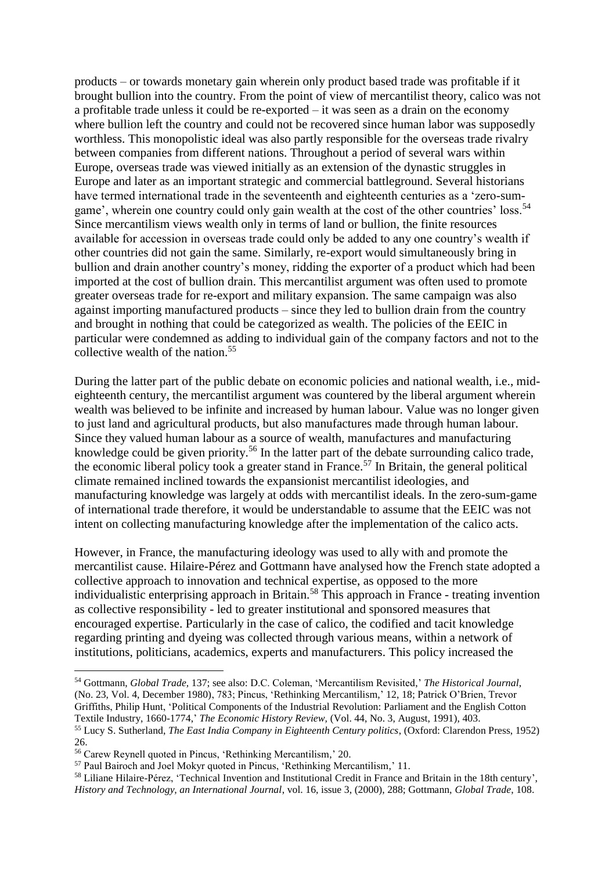products – or towards monetary gain wherein only product based trade was profitable if it brought bullion into the country. From the point of view of mercantilist theory, calico was not a profitable trade unless it could be re-exported – it was seen as a drain on the economy where bullion left the country and could not be recovered since human labor was supposedly worthless. This monopolistic ideal was also partly responsible for the overseas trade rivalry between companies from different nations. Throughout a period of several wars within Europe, overseas trade was viewed initially as an extension of the dynastic struggles in Europe and later as an important strategic and commercial battleground. Several historians have termed international trade in the seventeenth and eighteenth centuries as a 'zero-sumgame', wherein one country could only gain wealth at the cost of the other countries' loss.<sup>54</sup> Since mercantilism views wealth only in terms of land or bullion, the finite resources available for accession in overseas trade could only be added to any one country's wealth if other countries did not gain the same. Similarly, re-export would simultaneously bring in bullion and drain another country's money, ridding the exporter of a product which had been imported at the cost of bullion drain. This mercantilist argument was often used to promote greater overseas trade for re-export and military expansion. The same campaign was also against importing manufactured products – since they led to bullion drain from the country and brought in nothing that could be categorized as wealth. The policies of the EEIC in particular were condemned as adding to individual gain of the company factors and not to the collective wealth of the nation.<sup>55</sup>

During the latter part of the public debate on economic policies and national wealth, i.e., mideighteenth century, the mercantilist argument was countered by the liberal argument wherein wealth was believed to be infinite and increased by human labour. Value was no longer given to just land and agricultural products, but also manufactures made through human labour. Since they valued human labour as a source of wealth, manufactures and manufacturing knowledge could be given priority.<sup>56</sup> In the latter part of the debate surrounding calico trade, the economic liberal policy took a greater stand in France.<sup>57</sup> In Britain, the general political climate remained inclined towards the expansionist mercantilist ideologies, and manufacturing knowledge was largely at odds with mercantilist ideals. In the zero-sum-game of international trade therefore, it would be understandable to assume that the EEIC was not intent on collecting manufacturing knowledge after the implementation of the calico acts.

However, in France, the manufacturing ideology was used to ally with and promote the mercantilist cause. Hilaire-Pérez and Gottmann have analysed how the French state adopted a collective approach to innovation and technical expertise, as opposed to the more individualistic enterprising approach in Britain.<sup>58</sup> This approach in France - treating invention as collective responsibility - led to greater institutional and sponsored measures that encouraged expertise. Particularly in the case of calico, the codified and tacit knowledge regarding printing and dyeing was collected through various means, within a network of institutions, politicians, academics, experts and manufacturers. This policy increased the

<sup>54</sup> Gottmann, *Global Trade,* 137; see also: D.C. Coleman, 'Mercantilism Revisited,' *The Historical Journal*, (No. 23, Vol. 4, December 1980), 783; Pincus, 'Rethinking Mercantilism,' 12, 18; Patrick O'Brien, Trevor Griffiths, Philip Hunt, 'Political Components of the Industrial Revolution: Parliament and the English Cotton Textile Industry, 1660-1774,' *The Economic History Review,* (Vol. 44, No. 3, August, 1991), 403. <sup>55</sup> Lucy S. Sutherland, *The East India Company in Eighteenth Century politics*, (Oxford: Clarendon Press, 1952) 26.

<sup>56</sup> Carew Reynell quoted in Pincus, 'Rethinking Mercantilism,' 20.

<sup>57</sup> Paul Bairoch and Joel Mokyr quoted in Pincus, 'Rethinking Mercantilism,' 11.

<sup>58</sup> Liliane Hilaire-Pérez, 'Technical Invention and Institutional Credit in France and Britain in the 18th century', *History and Technology, an International Journal*, vol. 16, issue 3, (2000), 288; Gottmann, *Global Trade*, 108.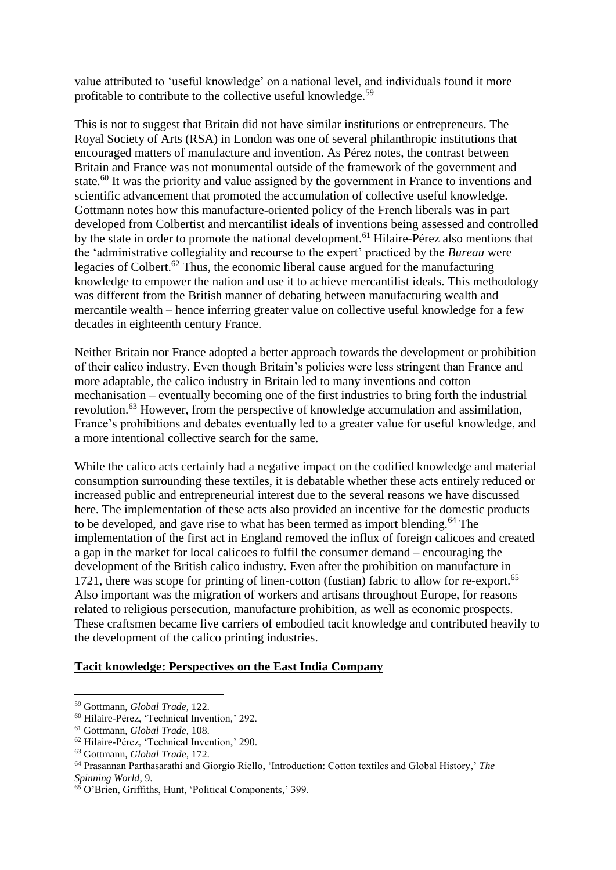value attributed to 'useful knowledge' on a national level, and individuals found it more profitable to contribute to the collective useful knowledge.<sup>59</sup>

This is not to suggest that Britain did not have similar institutions or entrepreneurs. The Royal Society of Arts (RSA) in London was one of several philanthropic institutions that encouraged matters of manufacture and invention. As Pérez notes, the contrast between Britain and France was not monumental outside of the framework of the government and state.<sup>60</sup> It was the priority and value assigned by the government in France to inventions and scientific advancement that promoted the accumulation of collective useful knowledge. Gottmann notes how this manufacture-oriented policy of the French liberals was in part developed from Colbertist and mercantilist ideals of inventions being assessed and controlled by the state in order to promote the national development.<sup>61</sup> Hilaire-Pérez also mentions that the 'administrative collegiality and recourse to the expert' practiced by the *Bureau* were legacies of Colbert.<sup>62</sup> Thus, the economic liberal cause argued for the manufacturing knowledge to empower the nation and use it to achieve mercantilist ideals. This methodology was different from the British manner of debating between manufacturing wealth and mercantile wealth – hence inferring greater value on collective useful knowledge for a few decades in eighteenth century France.

Neither Britain nor France adopted a better approach towards the development or prohibition of their calico industry. Even though Britain's policies were less stringent than France and more adaptable, the calico industry in Britain led to many inventions and cotton mechanisation – eventually becoming one of the first industries to bring forth the industrial revolution.<sup>63</sup> However, from the perspective of knowledge accumulation and assimilation, France's prohibitions and debates eventually led to a greater value for useful knowledge, and a more intentional collective search for the same.

While the calico acts certainly had a negative impact on the codified knowledge and material consumption surrounding these textiles, it is debatable whether these acts entirely reduced or increased public and entrepreneurial interest due to the several reasons we have discussed here. The implementation of these acts also provided an incentive for the domestic products to be developed, and gave rise to what has been termed as import blending.<sup>64</sup> The implementation of the first act in England removed the influx of foreign calicoes and created a gap in the market for local calicoes to fulfil the consumer demand – encouraging the development of the British calico industry. Even after the prohibition on manufacture in 1721, there was scope for printing of linen-cotton (fustian) fabric to allow for re-export.<sup>65</sup> Also important was the migration of workers and artisans throughout Europe, for reasons related to religious persecution, manufacture prohibition, as well as economic prospects. These craftsmen became live carriers of embodied tacit knowledge and contributed heavily to the development of the calico printing industries.

#### **Tacit knowledge: Perspectives on the East India Company**

<sup>59</sup> Gottmann, *Global Trade,* 122.

<sup>60</sup> Hilaire-Pérez, 'Technical Invention,' 292.

<sup>61</sup> Gottmann, *Global Trade*, 108.

<sup>62</sup> Hilaire-Pérez, 'Technical Invention,' 290.

<sup>63</sup> Gottmann, *Global Trade,* 172.

<sup>64</sup> Prasannan Parthasarathi and Giorgio Riello, 'Introduction: Cotton textiles and Global History,' *The Spinning World*, 9.

<sup>65</sup> O'Brien, Griffiths, Hunt, 'Political Components,' 399.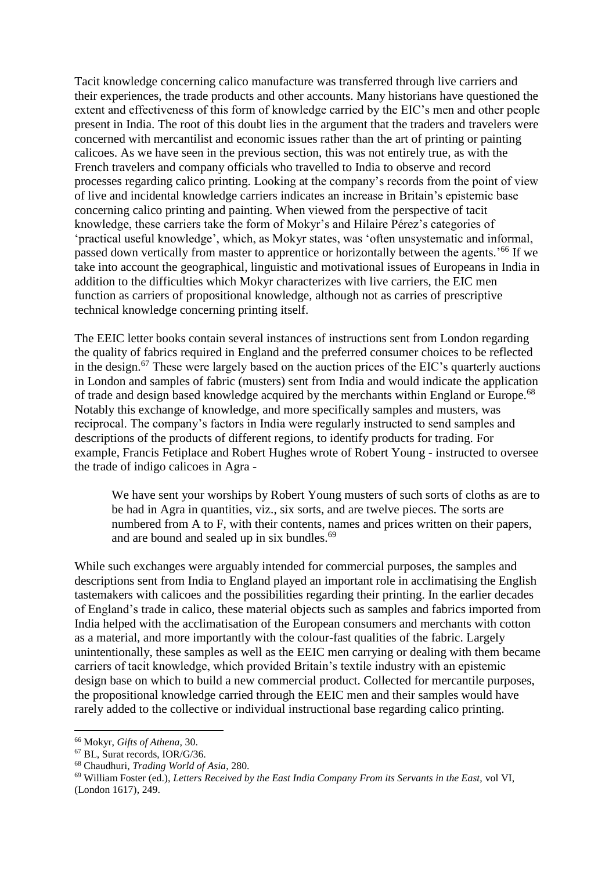Tacit knowledge concerning calico manufacture was transferred through live carriers and their experiences, the trade products and other accounts. Many historians have questioned the extent and effectiveness of this form of knowledge carried by the EIC's men and other people present in India. The root of this doubt lies in the argument that the traders and travelers were concerned with mercantilist and economic issues rather than the art of printing or painting calicoes. As we have seen in the previous section, this was not entirely true, as with the French travelers and company officials who travelled to India to observe and record processes regarding calico printing. Looking at the company's records from the point of view of live and incidental knowledge carriers indicates an increase in Britain's epistemic base concerning calico printing and painting. When viewed from the perspective of tacit knowledge, these carriers take the form of Mokyr's and Hilaire Pérez's categories of 'practical useful knowledge', which, as Mokyr states, was 'often unsystematic and informal, passed down vertically from master to apprentice or horizontally between the agents.'<sup>66</sup> If we take into account the geographical, linguistic and motivational issues of Europeans in India in addition to the difficulties which Mokyr characterizes with live carriers, the EIC men function as carriers of propositional knowledge, although not as carries of prescriptive technical knowledge concerning printing itself.

The EEIC letter books contain several instances of instructions sent from London regarding the quality of fabrics required in England and the preferred consumer choices to be reflected in the design.<sup>67</sup> These were largely based on the auction prices of the EIC's quarterly auctions in London and samples of fabric (musters) sent from India and would indicate the application of trade and design based knowledge acquired by the merchants within England or Europe.<sup>68</sup> Notably this exchange of knowledge, and more specifically samples and musters, was reciprocal. The company's factors in India were regularly instructed to send samples and descriptions of the products of different regions, to identify products for trading. For example, Francis Fetiplace and Robert Hughes wrote of Robert Young - instructed to oversee the trade of indigo calicoes in Agra -

We have sent your worships by Robert Young musters of such sorts of cloths as are to be had in Agra in quantities, viz., six sorts, and are twelve pieces. The sorts are numbered from A to F, with their contents, names and prices written on their papers, and are bound and sealed up in six bundles.<sup>69</sup>

While such exchanges were arguably intended for commercial purposes, the samples and descriptions sent from India to England played an important role in acclimatising the English tastemakers with calicoes and the possibilities regarding their printing. In the earlier decades of England's trade in calico, these material objects such as samples and fabrics imported from India helped with the acclimatisation of the European consumers and merchants with cotton as a material, and more importantly with the colour-fast qualities of the fabric. Largely unintentionally, these samples as well as the EEIC men carrying or dealing with them became carriers of tacit knowledge, which provided Britain's textile industry with an epistemic design base on which to build a new commercial product. Collected for mercantile purposes, the propositional knowledge carried through the EEIC men and their samples would have rarely added to the collective or individual instructional base regarding calico printing.

<sup>66</sup> Mokyr, *Gifts of Athena,* 30.

<sup>67</sup> BL, Surat records, IOR/G/36.

<sup>68</sup> Chaudhuri, *Trading World of Asia*, 280.

<sup>69</sup> William Foster (ed.), *Letters Received by the East India Company From its Servants in the East,* vol VI, (London 1617), 249.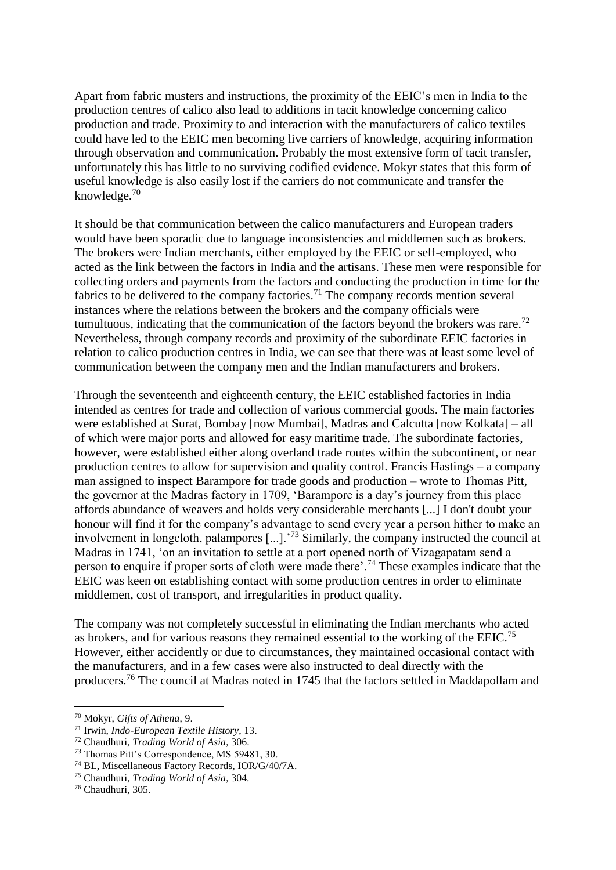Apart from fabric musters and instructions, the proximity of the EEIC's men in India to the production centres of calico also lead to additions in tacit knowledge concerning calico production and trade. Proximity to and interaction with the manufacturers of calico textiles could have led to the EEIC men becoming live carriers of knowledge, acquiring information through observation and communication. Probably the most extensive form of tacit transfer, unfortunately this has little to no surviving codified evidence. Mokyr states that this form of useful knowledge is also easily lost if the carriers do not communicate and transfer the knowledge.<sup>70</sup>

It should be that communication between the calico manufacturers and European traders would have been sporadic due to language inconsistencies and middlemen such as brokers. The brokers were Indian merchants, either employed by the EEIC or self-employed, who acted as the link between the factors in India and the artisans. These men were responsible for collecting orders and payments from the factors and conducting the production in time for the fabrics to be delivered to the company factories.<sup>71</sup> The company records mention several instances where the relations between the brokers and the company officials were tumultuous, indicating that the communication of the factors beyond the brokers was rare.<sup>72</sup> Nevertheless, through company records and proximity of the subordinate EEIC factories in relation to calico production centres in India, we can see that there was at least some level of communication between the company men and the Indian manufacturers and brokers.

Through the seventeenth and eighteenth century, the EEIC established factories in India intended as centres for trade and collection of various commercial goods. The main factories were established at Surat, Bombay [now Mumbai], Madras and Calcutta [now Kolkata] – all of which were major ports and allowed for easy maritime trade. The subordinate factories, however, were established either along overland trade routes within the subcontinent, or near production centres to allow for supervision and quality control. Francis Hastings – a company man assigned to inspect Barampore for trade goods and production – wrote to Thomas Pitt, the governor at the Madras factory in 1709, 'Barampore is a day's journey from this place affords abundance of weavers and holds very considerable merchants [...] I don't doubt your honour will find it for the company's advantage to send every year a person hither to make an involvement in longcloth, palampores [...].'<sup>73</sup> Similarly, the company instructed the council at Madras in 1741, 'on an invitation to settle at a port opened north of Vizagapatam send a person to enquire if proper sorts of cloth were made there'.<sup>74</sup> These examples indicate that the EEIC was keen on establishing contact with some production centres in order to eliminate middlemen, cost of transport, and irregularities in product quality.

The company was not completely successful in eliminating the Indian merchants who acted as brokers, and for various reasons they remained essential to the working of the EEIC.<sup>75</sup> However, either accidently or due to circumstances, they maintained occasional contact with the manufacturers, and in a few cases were also instructed to deal directly with the producers.<sup>76</sup> The council at Madras noted in 1745 that the factors settled in Maddapollam and

<sup>70</sup> Mokyr, *Gifts of Athena*, 9.

<sup>71</sup> Irwin, *Indo-European Textile History*, 13.

<sup>72</sup> Chaudhuri, *Trading World of Asia*, 306.

<sup>73</sup> Thomas Pitt's Correspondence, MS 59481, 30.

<sup>74</sup> BL, Miscellaneous Factory Records, IOR/G/40/7A.

<sup>75</sup> Chaudhuri, *Trading World of Asia*, 304.

<sup>76</sup> Chaudhuri, 305.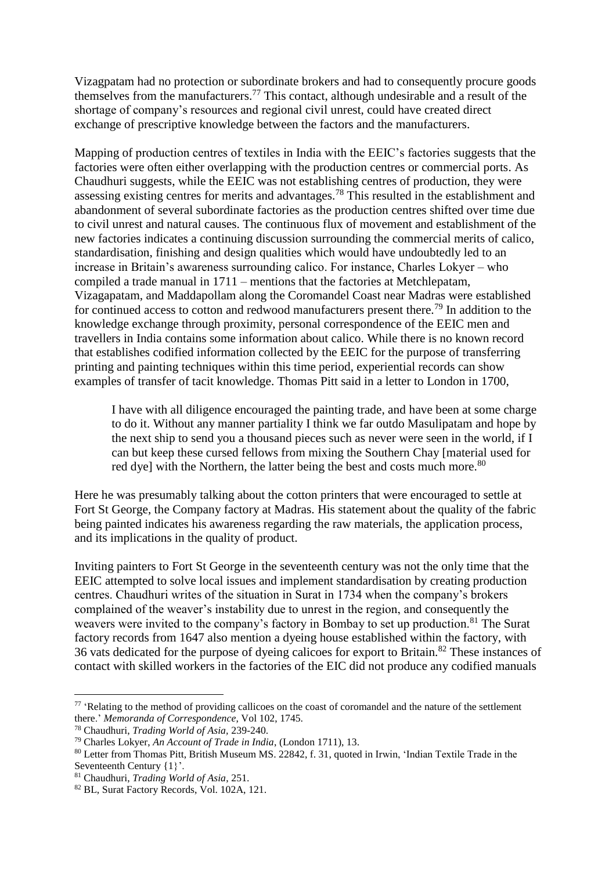Vizagpatam had no protection or subordinate brokers and had to consequently procure goods themselves from the manufacturers.<sup>77</sup> This contact, although undesirable and a result of the shortage of company's resources and regional civil unrest, could have created direct exchange of prescriptive knowledge between the factors and the manufacturers.

Mapping of production centres of textiles in India with the EEIC's factories suggests that the factories were often either overlapping with the production centres or commercial ports. As Chaudhuri suggests, while the EEIC was not establishing centres of production, they were assessing existing centres for merits and advantages.<sup>78</sup> This resulted in the establishment and abandonment of several subordinate factories as the production centres shifted over time due to civil unrest and natural causes. The continuous flux of movement and establishment of the new factories indicates a continuing discussion surrounding the commercial merits of calico, standardisation, finishing and design qualities which would have undoubtedly led to an increase in Britain's awareness surrounding calico. For instance, Charles Lokyer – who compiled a trade manual in 1711 – mentions that the factories at Metchlepatam, Vizagapatam, and Maddapollam along the Coromandel Coast near Madras were established for continued access to cotton and redwood manufacturers present there.<sup>79</sup> In addition to the knowledge exchange through proximity, personal correspondence of the EEIC men and travellers in India contains some information about calico. While there is no known record that establishes codified information collected by the EEIC for the purpose of transferring printing and painting techniques within this time period, experiential records can show examples of transfer of tacit knowledge. Thomas Pitt said in a letter to London in 1700,

I have with all diligence encouraged the painting trade, and have been at some charge to do it. Without any manner partiality I think we far outdo Masulipatam and hope by the next ship to send you a thousand pieces such as never were seen in the world, if I can but keep these cursed fellows from mixing the Southern Chay [material used for red dye] with the Northern, the latter being the best and costs much more.<sup>80</sup>

Here he was presumably talking about the cotton printers that were encouraged to settle at Fort St George, the Company factory at Madras. His statement about the quality of the fabric being painted indicates his awareness regarding the raw materials, the application process, and its implications in the quality of product.

Inviting painters to Fort St George in the seventeenth century was not the only time that the EEIC attempted to solve local issues and implement standardisation by creating production centres. Chaudhuri writes of the situation in Surat in 1734 when the company's brokers complained of the weaver's instability due to unrest in the region, and consequently the weavers were invited to the company's factory in Bombay to set up production.<sup>81</sup> The Surat factory records from 1647 also mention a dyeing house established within the factory, with 36 vats dedicated for the purpose of dyeing calicoes for export to Britain.<sup>82</sup> These instances of contact with skilled workers in the factories of the EIC did not produce any codified manuals

<sup>&</sup>lt;sup>77</sup> 'Relating to the method of providing callicoes on the coast of coromandel and the nature of the settlement there.' *Memoranda of Correspondence*, Vol 102, 1745.

<sup>78</sup> Chaudhuri, *Trading World of Asia,* 239-240.

<sup>79</sup> Charles Lokyer, *An Account of Trade in India*, (London 1711), 13.

<sup>80</sup> Letter from Thomas Pitt, British Museum MS. 22842, f. 31, quoted in Irwin, 'Indian Textile Trade in the Seventeenth Century {1}'.

<sup>81</sup> Chaudhuri, *Trading World of Asia*, 251.

<sup>82</sup> BL, Surat Factory Records, Vol. 102A, 121.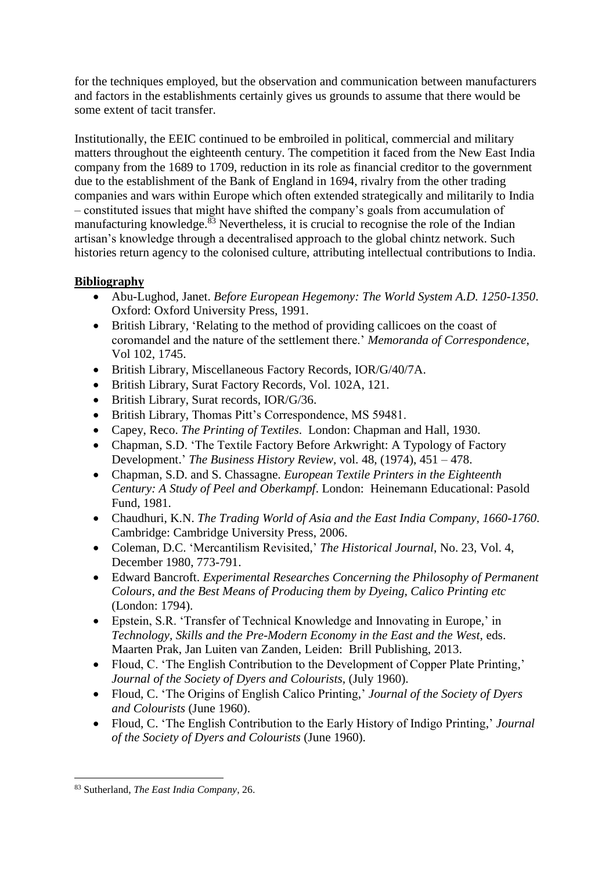for the techniques employed, but the observation and communication between manufacturers and factors in the establishments certainly gives us grounds to assume that there would be some extent of tacit transfer.

Institutionally, the EEIC continued to be embroiled in political, commercial and military matters throughout the eighteenth century. The competition it faced from the New East India company from the 1689 to 1709, reduction in its role as financial creditor to the government due to the establishment of the Bank of England in 1694, rivalry from the other trading companies and wars within Europe which often extended strategically and militarily to India – constituted issues that might have shifted the company's goals from accumulation of manufacturing knowledge. $83$  Nevertheless, it is crucial to recognise the role of the Indian artisan's knowledge through a decentralised approach to the global chintz network. Such histories return agency to the colonised culture, attributing intellectual contributions to India.

### **Bibliography**

- Abu-Lughod, Janet. *Before European Hegemony: The World System A.D. 1250-1350*. Oxford: Oxford University Press, 1991.
- British Library, 'Relating to the method of providing callicoes on the coast of coromandel and the nature of the settlement there.' *Memoranda of Correspondence*, Vol 102, 1745.
- British Library, Miscellaneous Factory Records, IOR/G/40/7A.
- British Library, Surat Factory Records, Vol. 102A, 121.
- British Library, Surat records, IOR/G/36.
- British Library, Thomas Pitt's Correspondence, MS 59481.
- Capey, Reco. *The Printing of Textiles*. London: Chapman and Hall, 1930.
- Chapman, S.D. 'The Textile Factory Before Arkwright: A Typology of Factory Development.' *The Business History Review,* vol. 48, (1974), 451 – 478.
- Chapman, S.D. and S. Chassagne. *European Textile Printers in the Eighteenth Century: A Study of Peel and Oberkampf*. London: Heinemann Educational: Pasold Fund, 1981.
- Chaudhuri, K.N. *The Trading World of Asia and the East India Company, 1660-1760*. Cambridge: Cambridge University Press, 2006.
- Coleman, D.C. 'Mercantilism Revisited,' *The Historical Journal*, No. 23, Vol. 4, December 1980, 773-791.
- Edward Bancroft. *Experimental Researches Concerning the Philosophy of Permanent Colours*, *and the Best Means of Producing them by Dyeing, Calico Printing etc* (London: 1794).
- Epstein, S.R. 'Transfer of Technical Knowledge and Innovating in Europe,' in *Technology, Skills and the Pre-Modern Economy in the East and the West*, eds. Maarten Prak, Jan Luiten van Zanden, Leiden: Brill Publishing, 2013.
- Floud, C. 'The English Contribution to the Development of Copper Plate Printing,' *Journal of the Society of Dyers and Colourists,* (July 1960).
- Floud, C. 'The Origins of English Calico Printing,' *Journal of the Society of Dyers and Colourists* (June 1960).
- Floud, C. 'The English Contribution to the Early History of Indigo Printing,' *Journal of the Society of Dyers and Colourists* (June 1960).

<sup>83</sup> Sutherland, *The East India Company*, 26.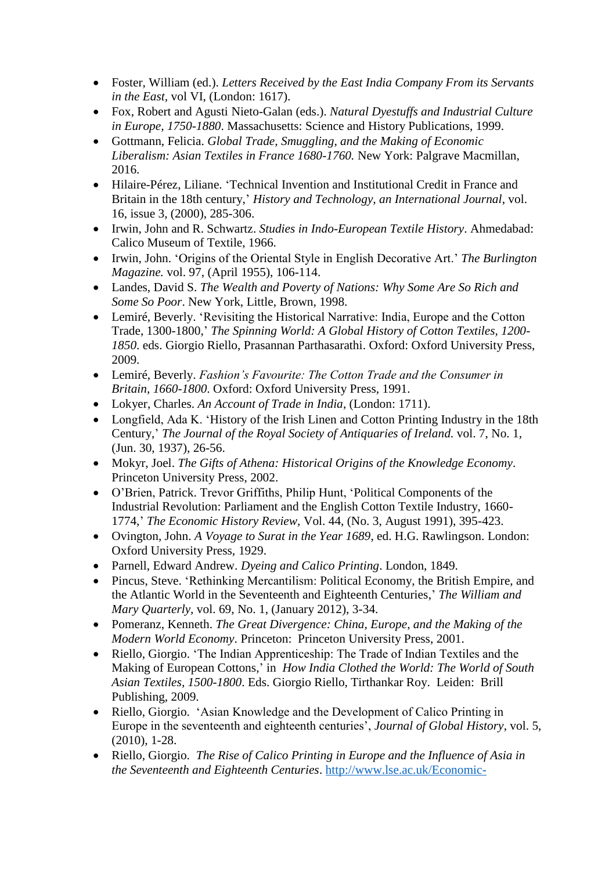- Foster, William (ed.). *Letters Received by the East India Company From its Servants in the East,* vol VI, (London: 1617).
- Fox, Robert and Agusti Nieto-Galan (eds.). *Natural Dyestuffs and Industrial Culture in Europe, 1750-1880*. Massachusetts: Science and History Publications, 1999.
- Gottmann, Felicia. *Global Trade, Smuggling, and the Making of Economic Liberalism: Asian Textiles in France 1680-1760.* New York: Palgrave Macmillan, 2016.
- Hilaire-Pérez, Liliane. 'Technical Invention and Institutional Credit in France and Britain in the 18th century,' *History and Technology, an International Journal*, vol. 16, issue 3, (2000), 285-306.
- Irwin, John and R. Schwartz. *Studies in Indo-European Textile History*. Ahmedabad: Calico Museum of Textile, 1966.
- Irwin, John. 'Origins of the Oriental Style in English Decorative Art.' *The Burlington Magazine.* vol. 97, (April 1955), 106-114.
- Landes, David S. *The Wealth and Poverty of Nations: Why Some Are So Rich and Some So Poor*. New York, Little, Brown, 1998.
- Lemiré, Beverly. 'Revisiting the Historical Narrative: India, Europe and the Cotton Trade, 1300-1800,' *The Spinning World: A Global History of Cotton Textiles, 1200- 1850*. eds. Giorgio Riello, Prasannan Parthasarathi. Oxford: Oxford University Press, 2009.
- Lemiré, Beverly. *Fashion's Favourite: The Cotton Trade and the Consumer in Britain, 1660-1800*. Oxford: Oxford University Press, 1991.
- Lokyer, Charles. *An Account of Trade in India*, (London: 1711).
- Longfield, Ada K. 'History of the Irish Linen and Cotton Printing Industry in the 18th Century,' *The Journal of the Royal Society of Antiquaries of Ireland.* vol. 7, No. 1, (Jun. 30, 1937), 26-56.
- Mokyr, Joel. *The Gifts of Athena: Historical Origins of the Knowledge Economy*. Princeton University Press, 2002.
- O'Brien, Patrick. Trevor Griffiths, Philip Hunt, 'Political Components of the Industrial Revolution: Parliament and the English Cotton Textile Industry, 1660- 1774,' *The Economic History Review,* Vol. 44, (No. 3, August 1991), 395-423.
- Ovington, John. *A Voyage to Surat in the Year 1689*, ed. H.G. Rawlingson. London: Oxford University Press, 1929.
- Parnell, Edward Andrew. *Dyeing and Calico Printing*. London, 1849.
- Pincus, Steve. 'Rethinking Mercantilism: Political Economy, the British Empire, and the Atlantic World in the Seventeenth and Eighteenth Centuries,' *The William and Mary Quarterly,* vol. 69, No. 1, (January 2012), 3-34.
- Pomeranz, Kenneth. *The Great Divergence: China, Europe, and the Making of the Modern World Economy*. Princeton: Princeton University Press, 2001.
- Riello, Giorgio. 'The Indian Apprenticeship: The Trade of Indian Textiles and the Making of European Cottons,' in *How India Clothed the World: The World of South Asian Textiles, 1500-1800*. Eds. Giorgio Riello, Tirthankar Roy. Leiden: Brill Publishing, 2009.
- Riello, Giorgio. 'Asian Knowledge and the Development of Calico Printing in Europe in the seventeenth and eighteenth centuries', *Journal of Global History*, vol. 5, (2010), 1-28.
- Riello, Giorgio. *The Rise of Calico Printing in Europe and the Influence of Asia in the Seventeenth and Eighteenth Centuries*. [http://www.lse.ac.uk/Economic-](http://www.lse.ac.uk/Economic-History/Assets/Documents/Research/GEHN/LesTreilles/PUNERiello.pdf)